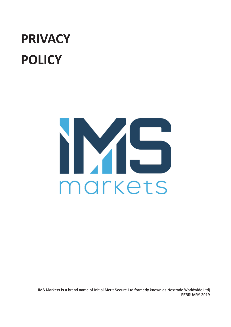# **PRIVACY POLICY**



IMS Markets is a brand name of Initial Merit Secure Ltd formerly known as Nextrade Worldwide Ltd| FEBRUARY 2019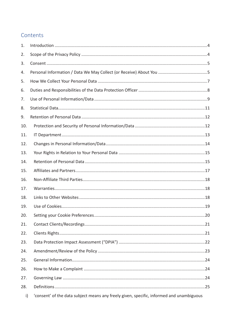#### Contents

| 1.  |                                                                                          |
|-----|------------------------------------------------------------------------------------------|
| 2.  |                                                                                          |
| 3.  |                                                                                          |
| 4.  |                                                                                          |
| 5.  |                                                                                          |
| 6.  |                                                                                          |
| 7.  |                                                                                          |
| 8.  |                                                                                          |
| 9.  |                                                                                          |
| 10. |                                                                                          |
| 11. |                                                                                          |
| 12. |                                                                                          |
| 13. |                                                                                          |
| 14. |                                                                                          |
| 15. |                                                                                          |
| 16. |                                                                                          |
| 17. |                                                                                          |
| 18. |                                                                                          |
| 19. |                                                                                          |
| 20. |                                                                                          |
| 21. |                                                                                          |
| 22. |                                                                                          |
| 23. |                                                                                          |
| 24. |                                                                                          |
| 25. |                                                                                          |
| 26. |                                                                                          |
| 27. |                                                                                          |
| 28. |                                                                                          |
| i)  | 'consent' of the data subject means any freely given, specific, informed and unambiguous |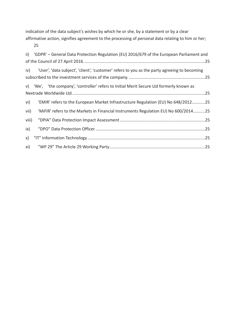indication of the data subject's wishes by which he or she, by a statement or by a clear affirmative action, signifies agreement to the processing of personal data relating to him or her;

|       | 25                                                                                           |  |
|-------|----------------------------------------------------------------------------------------------|--|
|       | ii) 'GDPR' – General Data Protection Regulation (EU) 2016/679 of the European Parliament and |  |
| iv)   | 'User', 'data subject', 'client', 'customer' refers to you as the party agreeing to becoming |  |
|       | v) 'We', 'the company', 'controller' refers to Initial Merit Secure Ltd formerly known as    |  |
| vi)   | 'EMIR' refers to the European Market Infrastructure Regulation (EU) No 648/201225            |  |
| vii)  | 'MiFIR' refers to the Markets in Financial Instruments Regulation EU) No 600/201425          |  |
| viii) |                                                                                              |  |
| ix)   |                                                                                              |  |
| x)    |                                                                                              |  |
| xi)   |                                                                                              |  |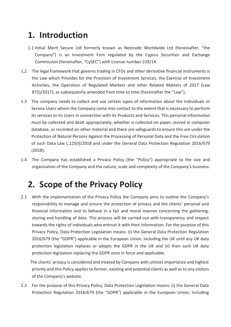### **1. Introduction**

- 1.1 Initial Merit Secure Ltd formerly known as Nextrade Worldwide Ltd (hereinafter, "the Company") is an Investment Firm regulated by the Cyprus Securities and Exchange Commission (hereinafter, "CySEC") with License number 229/14.
- 1.2 The legal framework that governs trading in CFDs and other derivative financial instruments is the Law which Provides for the Provision of Investment Services, the Exercise of Investment Activities, the Operation of Regulated Markets and other Related Matters of 2017 (Law 87(I)/2017), as subsequently amended from time to time (hereinafter the "Law"),
- 1.3 The company needs to collect and use certain types of information about the Individuals or Service Users whom the Company come into contact to the extent that is necessary to perform its services to its Users in connection with its Products and Services. This personal information must be collected and dealt appropriately, whether is collected on paper, stored in computer database, or recorded on other material and there are safeguards to ensure this are under the Protection of Natural Persons Against the Processing of Personal Data and the Free Circulation of such Data Law L.125(I)/2018 and under the General Data Protection Regulation 2016/679 (2018).
- 1.4 The Company has established a Privacy Policy (the "Policy") appropriate to the size and organization of the Company and the nature, scale and complexity of the Company's business.

#### **2. Scope of the Privacy Policy**

2.1 With the implementation of the Privacy Policy the Company aims to outline the Company's responsibility to manage and ensure the protection of privacy and the clients' personal and financial information and to behave in a fair and moral manner concerning the gathering, storing and handling of data. This process will be carried out with transparency and respect towards the rights of individuals who entrust it with their information. For the purpose of this Privacy Policy, Data Protection Legislation means: (i) the General Data Protection Regulation 2016/679 (the "GDPR") applicable in the European Union, including the UK until any UK data protection legislation replaces or adopts the GDPR in the UK and (ii) then such UK data protection legislation replacing the GDPR once in force and applicable.

The clients' privacy is considered and treated by Company with utmost importance and highest priority and this Policy applies to former, existing and potential clients as well as to any visitors of the Company's website.

2.2 For the purpose of this Privacy Policy, Data Protection Legislation means: (i) the General Data Protection Regulation 2016/679 (the "GDPR") applicable in the European Union, including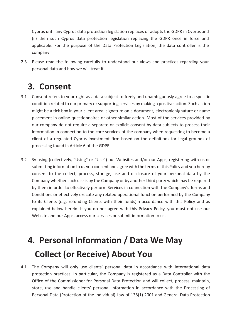Cyprus until any Cyprus data protection legislation replaces or adopts the GDPR in Cyprus and (ii) then such Cyprus data protection legislation replacing the GDPR once in force and applicable. For the purpose of the Data Protection Legislation, the data controller is the company.

2.3 Please read the following carefully to understand our views and practices regarding your personal data and how we will treat it.

#### **3. Consent**

- 3.1 Consent refers to your right as a data subject to freely and unambiguously agree to a specific condition related to our primary or supporting services by making a positive action. Such action might be a tick box in your client area, signature on a document, electronic signature or name placement in online questionnaires or other similar action. Most of the services provided by our company do not require a separate or explicit consent by data subjects to process their information in connection to the core services of the company when requesting to become a client of a regulated Cyprus investment firm based on the definitions for legal grounds of processing found in Article 6 of the GDPR.
- 3.2 By using (collectively, "Using" or "Use") our Websites and/or our Apps, registering with us or submitting information to us you consent and agree with the terms of this Policy and you hereby consent to the collect, process, storage, use and disclosure of your personal data by the Company whether such use is by the Company or by another third party which may be required by them in order to effectively perform Services in connection with the Company's Terms and Conditions or effectively execute any related operational function performed by the Company to its Clients (e.g. refunding Clients with their funds)in accordance with this Policy and as explained below herein. If you do not agree with this Privacy Policy, you must not use our Website and our Apps, access our services or submit information to us.

# **4. Personal Information / Data We May Collect (or Receive) About You**

4.1 The Company will only use clients' personal data in accordance with international data protection practices. In particular, the Company is registered as a Data Controller with the Office of the Commissioner for Personal Data Protection and will collect, process, maintain, store, use and handle clients' personal information in accordance with the Processing of Personal Data (Protection of the Individual) Law of 138(1) 2001 and General Data Protection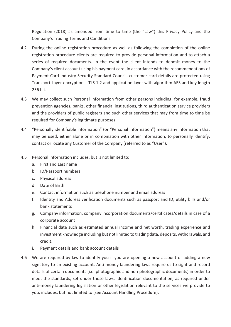Regulation (2018) as amended from time to time (the "Law") this Privacy Policy and the Company's Trading Terms and Conditions.

- 4.2 During the online registration procedure as well as following the completion of the online registration procedure clients are required to provide personal information and to attach a series of required documents. In the event the client intends to deposit money to the Company's client account using his payment card, in accordance with the recommendations of Payment Card Industry Security Standard Council, customer card details are protected using Transport Layer encryption – TLS 1.2 and application layer with algorithm AES and key length 256 bit.
- 4.3 We may collect such Personal Information from other persons including, for example, fraud prevention agencies, banks, other financial institutions, third authentication service providers and the providers of public registers and such other services that may from time to time be required for Company's legitimate purposes.
- 4.4 "Personally identifiable information" (or "Personal Information") means any information that may be used, either alone or in combination with other information, to personally identify, contact or locate any Customer of the Company (referred to as "User").
- 4.5 Personal Information includes, but is not limited to:
	- a. First and Last name
	- b. ID/Passport numbers
	- c. Physical address
	- d. Date of Birth
	- e. Contact information such as telephone number and email address
	- f. Identity and Address verification documents such as passport and ID, utility bills and/or bank statements
	- g. Company information, company incorporation documents/certificates/details in case of a corporate account
	- h. Financial data such as estimated annual income and net worth, trading experience and investment knowledge including but not limited to trading data, deposits, withdrawals, and credit.
	- i. Payment details and bank account details
- 4.6 We are required by law to identify you if you are opening a new account or adding a new signatory to an existing account. Anti-money laundering laws require us to sight and record details of certain documents (i.e. photographic and non-photographic documents) in order to meet the standards, set under those laws. Identification documentation, as required under anti-money laundering legislation or other legislation relevant to the services we provide to you, includes, but not limited to (see Account Handling Procedure):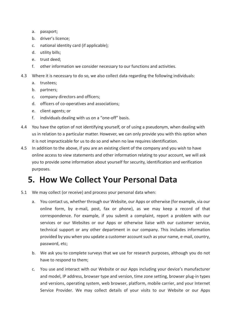- a. passport;
- b. driver's licence;
- c. national identity card (if applicable);
- d. utility bills;
- e. trust deed;
- f. other information we consider necessary to our functions and activities.
- 4.3 Where it is necessary to do so, we also collect data regarding the following individuals:
	- a. trustees;
	- b. partners;
	- c. company directors and officers;
	- d. officers of co-operatives and associations;
	- e. client agents; or
	- f. individuals dealing with us on a "one-off" basis.
- 4.4 You have the option of not identifying yourself, or of using a pseudonym, when dealing with us in relation to a particular matter. However, we can only provide you with this option when it is not impracticable for us to do so and when no law requires identification.
- 4.5 In addition to the above, if you are an existing client of the company and you wish to have online access to view statements and other information relating to your account, we will ask you to provide some information about yourself for security, identification and verification purposes.

#### **5. How We Collect Your Personal Data**

- 5.1 We may collect (or receive) and process your personal data when:
	- a. You contact us, whether through our Website, our Apps or otherwise (for example, via our online form, by e-mail, post, fax or phone), as we may keep a record of that correspondence. For example, if you submit a complaint, report a problem with our services or our Websites or our Apps or otherwise liaise with our customer service, technical support or any other department in our company. This includes information provided by you when you update a customer account such as your name, e-mail, country, password, etc;
	- b. We ask you to complete surveys that we use for research purposes, although you do not have to respond to them;
	- c. You use and interact with our Website or our Apps including your device's manufacturer and model, IP address, browser type and version, time zone setting, browser plug-in types and versions, operating system, web browser, platform, mobile carrier, and your Internet Service Provider. We may collect details of your visits to our Website or our Apps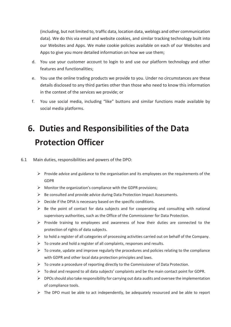(including, but not limited to, traffic data, location data, weblogs and other communication data). We do this via email and website cookies, and similar tracking technology built into our Websites and Apps. We make cookie policies available on each of our Websites and Apps to give you more detailed information on how we use them;

- d. You use your customer account to login to and use our platform technology and other features and functionalities;
- e. You use the online trading products we provide to you. Under no circumstances are these details disclosed to any third parties other than those who need to know this information in the context of the services we provide; or
- f. You use social media, including "like" buttons and similar functions made available by social media platforms.

# **6. Duties and Responsibilities of the Data Protection Officer**

- 6.1 Main duties, responsibilities and powers of the DPO:
	- $\triangleright$  Provide advice and guidance to the organisation and its employees on the requirements of the GDPR
	- $\triangleright$  Monitor the organization's compliance with the GDPR provisions;
	- $\triangleright$  Be consulted and provide advice during Data Protection Impact Assessments.
	- $\triangleright$  Decide if the DPIA is necessary based on the specific conditions.
	- $\triangleright$  Be the point of contact for data subjects and for cooperating and consulting with national supervisory authorities, such as the Office of the Commissioner for Data Protection.
	- $\triangleright$  Provide training to employees and awareness of how their duties are connected to the protection of rights of data subjects.
	- $\triangleright$  to hold a register of all categories of processing activities carried out on behalf of the Company.
	- $\triangleright$  To create and hold a register of all complaints, responses and results.
	- $\triangleright$  To create, update and improve regularly the procedures and policies relating to the compliance with GDPR and other local data protection principles and laws.
	- $\triangleright$  To create a procedure of reporting directly to the Commissioner of Data Protection.
	- $\triangleright$  To deal and respond to all data subjects' complaints and be the main contact point for GDPR.
	- $\triangleright$  DPOs should also take responsibility for carrying out data audits and oversee the implementation of compliance tools.
	- $\triangleright$  The DPO must be able to act independently, be adequately resourced and be able to report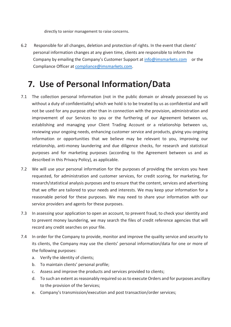directly to senior management to raise concerns.

6.2 Responsible for all changes, deletion and protection of rights. In the event that clients' personal information changes at any given time, clients are responsible to inform the Company by emailing the Company's Customer Support at info@imsmarkets.com or the Compliance Officer at compliance@imsmarkets.com.

#### **7. Use of Personal Information/Data**

- 7.1 The collection personal Information (not in the public domain or already possessed by us without a duty of confidentiality) which we hold is to be treated by us as confidential and will not be used for any purpose other than in connection with the provision, administration and improvement of our Services to you or the furthering of our Agreement between us, establishing and managing your Client Trading Account or a relationship between us, reviewing your ongoing needs, enhancing customer service and products, giving you ongoing information or opportunities that we believe may be relevant to you, improving our relationship, anti-money laundering and due diligence checks, for research and statistical purposes and for marketing purposes (according to the Agreement between us and as described in this Privacy Policy), as applicable.
- 7.2 We will use your personal information for the purposes of providing the services you have requested, for administration and customer services, for credit scoring, for marketing, for research/statistical analysis purposes and to ensure that the content, services and advertising that we offer are tailored to your needs and interests. We may keep your information for a reasonable period for these purposes. We may need to share your information with our service providers and agents for these purposes.
- 7.3 In assessing your application to open an account, to prevent fraud, to check your identity and to prevent money laundering, we may search the files of credit reference agencies that will record any credit searches on your file.
- 7.4 In order for the Company to provide, monitor and improve the quality service and security to its clients, the Company may use the clients' personal information/data for one or more of the following purposes:
	- a. Verify the identity of clients;
	- b. To maintain clients' personal profile;
	- c. Assess and improve the products and services provided to clients;
	- d. To such an extent as reasonably required so as to execute Orders and for purposes ancillary to the provision of the Services;
	- e. Company's transmission/execution and post transaction/order services;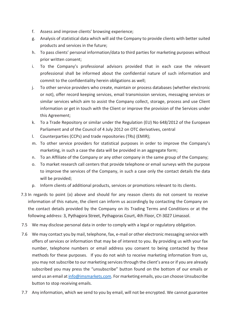- f. Assess and improve clients' browsing experience;
- g. Analysis of statistical data which will aid the Company to provide clients with better suited products and services in the future;
- h. To pass clients' personal information/data to third parties for marketing purposes without prior written consent;
- i. To the Company's professional advisors provided that in each case the relevant professional shall be informed about the confidential nature of such information and commit to the confidentiality herein obligations as well;
- j. To other service providers who create, maintain or process databases (whether electronic or not), offer record keeping services, email transmission services, messaging services or similar services which aim to assist the Company collect, storage, process and use Client information or get in touch with the Client or improve the provision of the Services under this Agreement;
- k. To a Trade Repository or similar under the Regulation (EU) No 648/2012 of the European Parliament and of the Council of 4 July 2012 on OTC derivatives, central
- l. Counterparties (CCPs) and trade repositories (TRs) (EMIR);
- m. To other service providers for statistical purposes in order to improve the Company's marketing, in such a case the data will be provided in an aggregate form;
- n. To an Affiliate of the Company or any other company in the same group of the Company;
- o. To market research call centers that provide telephone or email surveys with the purpose to improve the services of the Company, in such a case only the contact details the data will be provided;
- p. Inform clients of additional products, services or promotions relevant to its clients.
- 7.3 In regards to point (o) above and should for any reason clients do not consent to receive information of this nature, the client can inform us accordingly by contacting the Company on the contact details provided by the Company on its Trading Terms and Conditions or at the following address: 3, Pythagora Street, Pythagoras Court, 4th Floor, CY-3027 Limassol.
- 7.5 We may disclose personal data in order to comply with a legal or regulatory obligation.
- 7.6 We may contact you by mail, telephone, fax, e-mail or other electronic messaging service with offers of services or information that may be of interest to you. By providing us with your fax number, telephone numbers or email address you consent to being contacted by these methods for these purposes. If you do not wish to receive marketing information from us, you may not subscribe to our marketing services through the client's area or if you are already subscribed you may press the "unsubscribe" button found on the bottom of our emails or send us an email at info@imsmarkets.com. For marketing emails, you can choose Unsubscribe button to stop receiving emails.
- 7.7 Any information, which we send to you by email, will not be encrypted. We cannot guarantee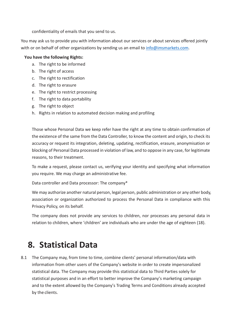confidentiality of emails that you send to us.

You may ask us to provide you with information about our services or about services offered jointly with or on behalf of other organizations by sending us an email to  $info@imsmarks.com$ .

#### **You have the following Rights:**

- a. The right to be informed
- b. The right of access
- c. The right to rectification
- d. The right to erasure
- e. The right to restrict processing
- f. The right to data portability
- g. The right to object
- h. Rights in relation to automated decision making and profiling

Those whose Personal Data we keep refer have the right at any time to obtain confirmation of the existence of the same from the Data Controller, to know the content and origin, to check its accuracy or request its integration, deleting, updating, rectification, erasure, anonymisation or blocking of Personal Data processed in violation of law, and to oppose in any case, for legitimate reasons, to their treatment.

To make a request, please contact us, verifying your identity and specifying what information you require. We may charge an administrative fee.

Data controller and Data processor: The company\*

We may authorize another natural person, legal person, public administration or any other body, association or organization authorized to process the Personal Data in compliance with this Privacy Policy, on its behalf.

The company does not provide any services to children, nor processes any personal data in relation to children, where 'children' are individuals who are under the age of eighteen (18).

#### **8. Statistical Data**

8.1 The Company may, from time to time, combine clients' personal information/data with information from other users of the Company's website in order to create impersonalized statistical data. The Company may provide this statistical data to Third Parties solely for statistical purposes and in an effort to better improve the Company's marketing campaign and to the extent allowed by the Company's Trading Terms and Conditions already accepted by the clients.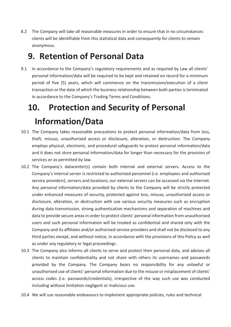8.2 The Company will take all reasonable measures in order to ensure that in no circumstances clients will be identifiable from this statistical data and consequently for clients to remain anonymous.

#### **9. Retention of Personal Data**

9.1 In accordance to the Company's regulatory requirements and as required by Law all clients' personal information/data will be required to be kept and retained on record for a minimum period of five (5) years, which will commence on the transmission/execution of a client transaction or the date of which the business relationship between both parties is terminated in accordance to the Company's Trading Terms and Conditions.

# **10. Protection and Security of Personal Information/Data**

- 10.1 The Company takes reasonable precautions to protect personal information/data from loss, theft, misuse, unauthorized access or disclosure, alteration, or destruction. The Company employs physical, electronic, and procedural safeguards to protect personal information/data and it does not store personal information/data for longer than necessary for the provision of services or as permitted by law.
- 10.2 The Company's datacenter(s) contain both internal and external servers. Access to the Company's internal server is restricted to authorised personnel (i.e. employees and authorised service providers), servers and locations; our external servers can be accessed via the Internet. Any personal information/data provided by clients to the Company will be strictly protected under enhanced measures of security, protected against loss, misuse, unauthorized access or disclosure, alteration, or destruction with use various security measures such as encryption during data transmission, strong authentication mechanisms and separation of machines and data to provide secure areas in order to protect clients' personal information from unauthorised users and such personal information will be treated as confidential and shared only with the Company and its affiliates and/or authorised service providers and shall not be disclosed to any third parties except, and without notice, in accordance with the provisions of this Policy as well as under any regulatory or legal proceedings.
- 10.3 The Company also informs all clients to serve and protect their personal data, and advises all clients to maintain confidentiality and not share with others its usernames and passwords provided by the Company. The Company bears no responsibility for any unlawful or unauthorised use of clients' personal information due to the misuse or misplacement of clients' access codes (i.e. passwords/credentials), irrespective of the way such use was conducted including without limitation negligent or malicious use.
- 10.4 We will use reasonable endeavours to implement appropriate policies, rules and technical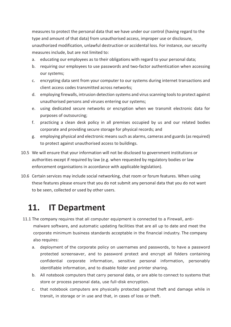measures to protect the personal data that we have under our control (having regard to the type and amount of that data) from unauthorised access, improper use or disclosure, unauthorized modification, unlawful destruction or accidental loss. For instance, our security measures include, but are not limited to:

- a. educating our employees as to their obligations with regard to your personal data;
- b. requiring our employees to use passwords and two-factor authentication when accessing our systems;
- c. encrypting data sent from your computer to our systems during internet transactions and client access codes transmitted across networks;
- d. employing firewalls, intrusion detection systems and virus scanning tools to protect against unauthorised persons and viruses entering our systems;
- e. using dedicated secure networks or encryption when we transmit electronic data for purposes of outsourcing;
- f. practicing a clean desk policy in all premises occupied by us and our related bodies corporate and providing secure storage for physical records; and
- g. employing physical and electronic means such as alarms, cameras and guards (as required) to protect against unauthorised access to buildings.
- 10.5 We will ensure that your information will not be disclosed to government institutions or authorities except if required by law (e.g. when requested by regulatory bodies or law enforcement organisations in accordance with applicable legislation).
- 10.6 Certain services may include social networking, chat room or forum features. When using these features please ensure that you do not submit any personal data that you do not want to be seen, collected or used by other users.

#### **11. IT Department**

- 11.1 The company requires that all computer equipment is connected to a Firewall, antimalware software, and automatic updating facilities that are all up to date and meet the corporate minimum business standards acceptable in the financial industry. The company also requires:
	- a. deployment of the corporate policy on usernames and passwords, to have a password protected screensaver, and to password protect and encrypt all folders containing confidential corporate information, sensitive personal information, personably identifiable information, and to disable folder and printer sharing.
	- b. All notebook computers that carry personal data, or are able to connect to systems that store or process personal data, use full-disk encryption.
	- c. that notebook computers are physically protected against theft and damage while in transit, in storage or in use and that, in cases of loss or theft.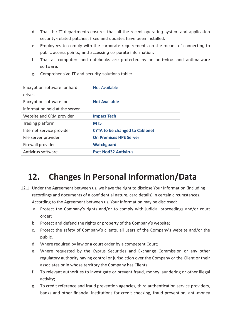- d. That the IT departments ensures that all the recent operating system and application security-related patches, fixes and updates have been installed.
- e. Employees to comply with the corporate requirements on the means of connecting to public access points, and accessing corporate information.
- f. That all computers and notebooks are protected by an anti-virus and antimalware software.
- g. Comprehensive IT and security solutions table:

| Encryption software for hard<br>drives                    | <b>Not Available</b>                  |
|-----------------------------------------------------------|---------------------------------------|
| Encryption software for<br>information held at the server | <b>Not Available</b>                  |
| Website and CRM provider                                  | <b>Impact Tech</b>                    |
| Trading platform                                          | MT <sub>5</sub>                       |
| Internet Service provider                                 | <b>CYTA to be changed to Cablenet</b> |
| File server provider                                      | <b>On Premises HPE Server</b>         |
| Firewall provider                                         | <b>Watchguard</b>                     |
| Antivirus software                                        | <b>Eset Nod32 Antivirus</b>           |

### **12. Changes in Personal Information/Data**

- 12.1 Under the Agreement between us, we have the right to disclose Your Information (including recordings and documents of a confidential nature, card details) in certain circumstances. According to the Agreement between us, Your Information may be disclosed:
	- a. Protect the Company's rights and/or to comply with judicial proceedings and/or court order;
	- b. Protect and defend the rights or property of the Company's website;
	- c. Protect the safety of Company's clients, all users of the Company's website and/or the public.
	- d. Where required by law or a court order by a competent Court;
	- e. Where requested by the Cyprus Securities and Exchange Commission or any other regulatory authority having control or jurisdiction over the Company or the Client or their associates or in whose territory the Company has Clients;
	- f. To relevant authorities to investigate or prevent fraud, money laundering or other illegal activity;
	- g. To credit reference and fraud prevention agencies, third authentication service providers, banks and other financial institutions for credit checking, fraud prevention, anti-money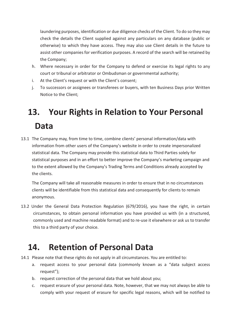laundering purposes, identification or due diligence checks of the Client. To do so they may check the details the Client supplied against any particulars on any database (public or otherwise) to which they have access. They may also use Client details in the future to assist other companies for verification purposes. A record of the search will be retained by the Company;

- h. Where necessary in order for the Company to defend or exercise its legal rights to any court or tribunal or arbitrator or Ombudsman or governmental authority;
- i. At the Client's request or with the Client's consent;
- j. To successors or assignees or transferees or buyers, with ten Business Days prior Written Notice to the Client;

# **13. Your Rights in Relation to Your Personal Data**

13.1 The Company may, from time to time, combine clients' personal information/data with information from other users of the Company's website in order to create impersonalized statistical data. The Company may provide this statistical data to Third Parties solely for statistical purposes and in an effort to better improve the Company's marketing campaign and to the extent allowed by the Company's Trading Terms and Conditions already accepted by the clients.

The Company will take all reasonable measures in order to ensure that in no circumstances clients will be identifiable from this statistical data and consequently for clients to remain anonymous.

13.2 Under the General Data Protection Regulation (679/2016), you have the right, in certain circumstances, to obtain personal information you have provided us with (in a structured, commonly used and machine readable format) and to re-use it elsewhere or ask us to transfer this to a third party of your choice.

#### **14. Retention of Personal Data**

- 14.1 Please note that these rights do not apply in all circumstances. You are entitled to:
	- a. request access to your personal data (commonly known as a "data subject access request");
	- b. request correction of the personal data that we hold about you;
	- c. request erasure of your personal data. Note, however, that we may not always be able to comply with your request of erasure for specific legal reasons, which will be notified to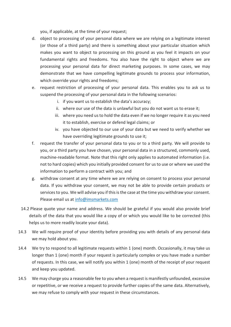you, if applicable, at the time of your request;

- d. object to processing of your personal data where we are relying on a legitimate interest (or those of a third party) and there is something about your particular situation which makes you want to object to processing on this ground as you feel it impacts on your fundamental rights and freedoms. You also have the right to object where we are processing your personal data for direct marketing purposes. In some cases, we may demonstrate that we have compelling legitimate grounds to process your information, which override your rights and freedoms;
- e. request restriction of processing of your personal data. This enables you to ask us to suspend the processing of your personal data in the following scenarios:
	- i. if you want us to establish the data's accuracy;
	- ii. where our use of the data is unlawful but you do not want us to erase it;
	- iii. where you need us to hold the data even if we no longer require it as you need it to establish, exercise or defend legal claims; or
	- iv. you have objected to our use of your data but we need to verify whether we have overriding legitimate grounds to use it;
- f. request the transfer of your personal data to you or to a third party. We will provide to you, or a third party you have chosen, your personal data in a structured, commonly used, machine-readable format. Note that this right only applies to automated information (i.e. not to hard copies) which you initially provided consent for us to use or where we used the information to perform a contract with you; and
- g. withdraw consent at any time where we are relying on consent to process your personal data. If you withdraw your consent, we may not be able to provide certain products or services to you. We will advise you if this is the case at the time you withdraw your consent. Please email us at info@imsmarkets.com
- 14.2 Please quote your name and address. We should be grateful if you would also provide brief details of the data that you would like a copy of or which you would like to be corrected (this helps us to more readily locate your data).
- 14.3 We will require proof of your identity before providing you with details of any personal data we may hold about you.
- 14.4 We try to respond to all legitimate requests within 1 (one) month. Occasionally, it may take us longer than 1 (one) month if your request is particularly complex or you have made a number of requests. In this case, we will notify you within 1 (one) month of the receipt of your request and keep you updated.
- 14.5 We may charge you a reasonable fee to you when a request is manifestly unfounded, excessive or repetitive, or we receive a request to provide further copies of the same data. Alternatively, we may refuse to comply with your request in these circumstances.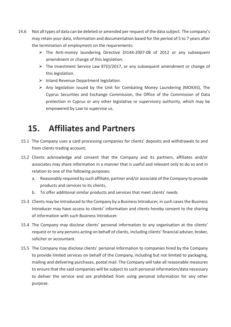- 14.6 Not all types of data can be deleted or amended per request of the data subject. The company's may retain your data, information and documentation based for the period of 5 to 7 years after the termination of employment on the requirements:
	- → The Anti-money laundering Directive DI144-2007-08 of 2012 or any subsequent amendment or change of this legislation.
	- $\triangleright$  The Investment Service Law 87(I)/2017, or any subsequent amendment or change of this legislation.
	- $\triangleright$  Inland Revenue Department legislation.
	- $\triangleright$  Any legislation issued by the Unit for Combating Money Laundering (MOKAS), The Cyprus Securities and Exchange Commission, the Office of the Commission of Data protection in Cyprus or any other legislative or supervisory authority, which may be empowered by Law to supervise us.

#### **15. Affiliates and Partners**

- 15.1 The Company uses a card processing companies for clients' deposits and withdrawals to and from clients trading account;
- 15.2 Clients acknowledge and consent that the Company and its partners, affiliates and/or associates may share information in a manner that is useful and relevant only to do so and in relation to one of the following purposes:
	- a. Reasonably required by such affiliate, partner and/or associate of the Company to provide products and services to its clients,
	- b. To offer additional similar products and services that meet clients' needs
- 15.3 Clients may be introduced to the Company by a Business Introducer, in such cases the Business Introducer may have access to clients' information and clients hereby consent to the sharing of information with such Business Introducer.
- 15.4 The Company may disclose clients' personal information to any organisation at the clients' request or to any persons acting on behalf of clients, including clients' financial adviser, broker, solicitor or accountant.
- 15.5 The Company may disclose clients' personal information to companies hired by the Company to provide limited services on behalf of the Company, including but not limited to packaging, mailing and delivering purchases, postal mail. The Company will take all reasonable measures to ensure that the said companies will be subject to such personal information/data necessary to deliver the service and are prohibited from using personal information for any other purpose.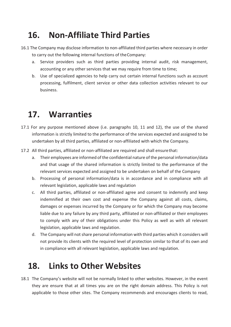### **16. Non-Affiliate Third Parties**

- 16.1 The Company may disclose information to non-affiliated third parties where necessary in order to carry out the following internal functions of theCompany:
	- a. Service providers such as third parties providing internal audit, risk management, accounting or any other services that we may require from time to time;
	- b. Use of specialized agencies to help carry out certain internal functions such as account processing, fulfilment, client service or other data collection activities relevant to our business.

#### **17. Warranties**

- 17.1 For any purpose mentioned above (i.e. paragraphs 10, 11 and 12), the use of the shared information is strictly limited to the performance of the services expected and assigned to be undertaken by all third parties, affiliated or non-affiliated with which the Company.
- 17.2 All third parties, affiliated or non-affiliated are required and shall ensure that:
	- a. Their employees are informed of the confidential nature of the personal information/data and that usage of the shared information is strictly limited to the performance of the relevant services expected and assigned to be undertaken on behalf of the Company
	- b. Processing of personal information/data is in accordance and in compliance with all relevant legislation, applicable laws and regulation
	- c. All third parties, affiliated or non-affiliated agree and consent to indemnify and keep indemnified at their own cost and expense the Company against all costs, claims, damages or expenses incurred by the Company or for which the Company may become liable due to any failure by any third party, affiliated or non-affiliated or their employees to comply with any of their obligations under this Policy as well as with all relevant legislation, applicable laws and regulation.
	- d. The Company will not share personal information with third parties which it considers will not provide its clients with the required level of protection similar to that of its own and in compliance with all relevant legislation, applicable laws and regulation.

#### **18. Links to Other Websites**

18.1 The Company's website will not be normally linked to other websites. However, in the event they are ensure that at all times you are on the right domain address. This Policy is not applicable to those other sites. The Company recommends and encourages clients to read,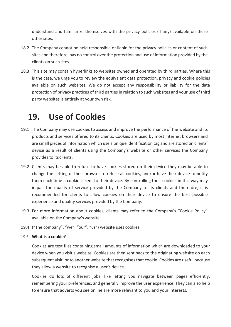understand and familiarize themselves with the privacy policies (if any) available on these other sites.

- 18.2 The Company cannot be held responsible or liable for the privacy policies or content of such sites and therefore, has no control over the protection and use of information provided by the clients on such sites.
- 18.3 This site may contain hyperlinks to websites owned and operated by third parties. Where this is the case, we urge you to review the equivalent data protection, privacy and cookie policies available on such websites. We do not accept any responsibility or liability for the data protection of privacy practices of third parties in relation to such websites and your use of third party websites is entirely at your own risk.

#### **19. Use of Cookies**

- 19.1 The Company may use cookies to assess and improve the performance of the website and its products and services offered to its clients. Cookies are used by most internet browsers and are small pieces of information which use a unique identification tag and are stored on clients' device as a result of clients using the Company's website or other services the Company provides to its clients.
- 19.2 Clients may be able to refuse to have cookies stored on their device they may be able to change the setting of their browser to refuse all cookies, and/or have their device to notify them each time a cookie is sent to their device. By controlling their cookies in this way may impair the quality of service provided by the Company to its clients and therefore, it is recommended for clients to allow cookies on their device to ensure the best possible experience and quality services provided by the Company.
- 19.3 For more information about cookies, clients may refer to the Company's "Cookie Policy" available on the Company's website.
- 19.4 ("The company", "we", "our", "us") website uses cookies.

#### 19.5 **What is a cookie?**

Cookies are text files containing small amounts of information which are downloaded to your device when you visit a website. Cookies are then sent back to the originating website on each subsequent visit, or to another website that recognises that cookie. Cookies are useful because they allow a website to recognise a user's device.

Cookies do lots of different jobs, like letting you navigate between pages efficiently, remembering your preferences, and generally improve the user experience. They can also help to ensure that adverts you see online are more relevant to you and your interests.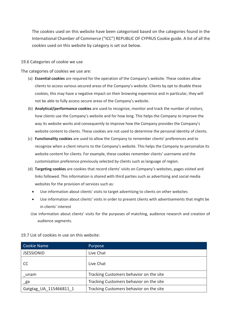The cookies used on this website have been categorised based on the categories found in the International Chamber of Commerce ("ICC") REPUBLIC OF CYPRUS Cookie guide. A list of all the cookies used on this website by category is set out below.

#### 19.6 Categories of cookie we use

The categories of cookies we use are:

- (a) **Essential cookies** are required for the operation of the Company's website. These cookies allow clients to access various secured areas of the Company's website. Clients by opt to disable these cookies, this may have a negative impact on their browsing experience and in particular, they will not be able to fully access secure areas of the Company's website.
- (b) **Analytical/performance cookies** are used to recognize, monitor and track the number of visitors, how clients use the Company's website and for how long. This helps the Company to improve the way its website works and consequently to improve how the Company provides the Company's website content to clients. These cookies are not used to determine the personal identity of clients.
- (c) **Functionality cookies** are used to allow the Company to remember clients' preferences and to recognize when a client returns to the Company's website. This helps the Company to personalize its website content for clients. For example, these cookies remember clients' username and the customization preference previously selected by clients such as language of region.
- (d) **Targeting cookies** are cookies that record clients' visits on Company's websites, pages visited and links followed. This information is shared with third parties such as advertising and social media websites for the provision of services such as:
	- Use information about clients' visits to target advertising to clients on other websites
	- Use information about clients' visits in order to present clients with advertisements that might be in clients' interest
	- Use information about clients' visits for the purposes of matching, audience research and creation of audience segments.

19.7 List of cookies in use on this website:

| <b>Cookie Name</b>     | Purpose                                 |
|------------------------|-----------------------------------------|
| <b>JSESSIONID</b>      | Live Chat                               |
| CC                     | Live Chat                               |
| unam                   | Tracking Customers behavior on the site |
| _ga                    | Tracking Customers behavior on the site |
| Gatgtag UA 115466811 1 | Tracking Customers behavior on the site |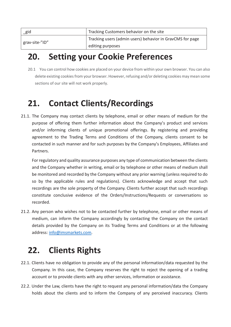| gid            | Tracking Customers behavior on the site                   |
|----------------|-----------------------------------------------------------|
| grav-site-"ID" | Tracking users (admin users) behavior in GravCMS for page |
|                | editing purposes                                          |

#### **20. Setting your Cookie Preferences**

20.1 You can control how cookies are placed on your device from within your own browser. You can also delete existing cookies from your browser. However, refusing and/or deleting cookies may mean some sections of our site will not work properly.

#### **21. Contact Clients/Recordings**

21.1. The Company may contact clients by telephone, email or other means of medium for the purpose of offering them further information about the Company's product and services and/or informing clients of unique promotional offerings. By registering and providing agreement to the Trading Terms and Conditions of the Company, clients consent to be contacted in such manner and for such purposes by the Company's Employees, Affiliates and Partners.

For regulatory and quality assurance purposes any type of communication between the clients and the Company whether in writing, email or by telephone or other means of medium shall be monitored and recorded by the Company without any prior warning (unless required to do so by the applicable rules and regulations). Clients acknowledge and accept that such recordings are the sole property of the Company. Clients further accept that such recordings constitute conclusive evidence of the Orders/Instructions/Requests or conversations so recorded.

21.2. Any person who wishes not to be contacted further by telephone, email or other means of medium, can inform the Company accordingly by contacting the Company on the contact details provided by the Company on its Trading Terms and Conditions or at the following address: info@imsmarkets.com.

#### **22. Clients Rights**

- 22.1. Clients have no obligation to provide any of the personal information/data requested by the Company. In this case, the Company reserves the right to reject the opening of a trading account or to provide clients with any other services, information or assistance.
- 22.2. Under the Law, clients have the right to request any personal information/data the Company holds about the clients and to inform the Company of any perceived inaccuracy. Clients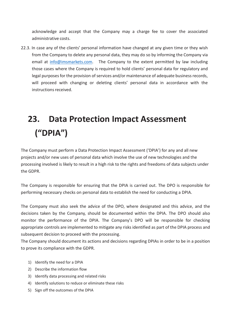acknowledge and accept that the Company may a charge fee to cover the associated administrative costs.

22.3. In case any of the clients' personal information have changed at any given time or they wish from the Company to delete any personal data, they may do so by informing the Company via email at info@imsmarkets.com. The Company to the extent permitted by law including those cases where the Company is required to hold clients' personal data for regulatory and legal purposes for the provision of services and/or maintenance of adequate business records, will proceed with changing or deleting clients' personal data in accordance with the instructions received.

## **23. Data Protection Impact Assessment ("DPIA")**

The Company must perform a Data Protection Impact Assessment ('DPIA') for any and all new projects and/or new uses of personal data which involve the use of new technologies and the processing involved is likely to result in a high risk to the rights and freedoms of data subjects under the GDPR.

The Company is responsible for ensuring that the DPIA is carried out. The DPO is responsible for performing necessary checks on personal data to establish the need for conducting a DPIA.

The Company must also seek the advice of the DPO, where designated and this advice, and the decisions taken by the Company, should be documented within the DPIA. The DPO should also monitor the performance of the DPIA. The Company's DPO will be responsible for checking appropriate controls are implemented to mitigate any risks identified as part of the DPIA process and subsequent decision to proceed with the processing.

The Company should document its actions and decisions regarding DPIAs in order to be in a position to prove its compliance with the GDPR.

- 1) Identify the need for a DPIA
- 2) Describe the information flow
- 3) Identify data processing and related risks
- 4) Identify solutions to reduce or eliminate these risks
- 5) Sign off the outcomes of the DPIA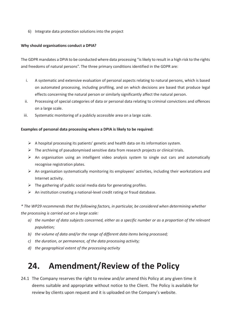6) Integrate data protection solutions into the project

#### **Why should organisations conduct a DPIA?**

The GDPR mandates a DPIA to be conducted where data processing "is likely to result in a high risk to the rights and freedoms of natural persons". The three primary conditions identified in the GDPR are:

- i. A systematic and extensive evaluation of personal aspects relating to natural persons, which is based on automated processing, including profiling, and on which decisions are based that produce legal effects concerning the natural person or similarly significantly affect the natural person.
- ii. Processing of special categories of data or personal data relating to criminal convictions and offences on a large scale.
- iii. Systematic monitoring of a publicly accessible area on a large scale.

#### **Examples of personal data processing where a DPIA is likely to be required:**

- $\triangleright$  A hospital processing its patients' genetic and health data on its information system.
- ¾ The archiving of pseudonymised sensitive data from research projects or clinical trials.
- $\triangleright$  An organisation using an intelligent video analysis system to single out cars and automatically recognise registration plates.
- $\triangleright$  An organisation systematically monitoring its employees' activities, including their workstations and Internet activity.
- $\triangleright$  The gathering of public social media data for generating profiles.
- $\triangleright$  An institution creating a national-level credit rating or fraud database.

*\* The WP29 recommends that the following factors, in particular, be considered when determining whether the processing is carried out on a large scale:* 

- *a) the number of data subjects concerned, either as a specific number or as a proportion of the relevant population;*
- *b) the volume of data and/or the range of different data items being processed;*
- *c) the duration, or permanence, of the data processing activity;*
- *d) the geographical extent of the processing activity*

#### **24. Amendment/Review of the Policy**

24.1 The Company reserves the right to review and/or amend this Policy at any given time it deems suitable and appropriate without notice to the Client. The Policy is available for review by clients upon request and it is uploaded on the Company's website.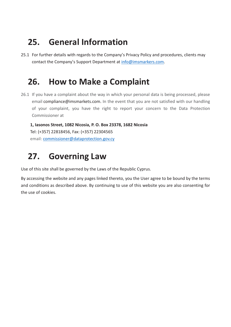### **25. General Information**

25.1 For further details with regards to the Company's Privacy Policy and procedures, clients may contact the Company's Support Department at info@imsmarkers.com.

#### **26. How to Make a Complaint**

26.1 If you have a complaint about the way in which your personal data is being processed, please email compliance@imsmarkets.com. In the event that you are not satisfied with our handling of your complaint, you have the right to report your concern to the Data Protection Commissioner at

**1, Iasonos Street, 1082 Nicosia, P. O. Box 23378, 1682 Nicosia** Tel: (+357) 22818456, Fax: (+357) 22304565 email: commissioner@dataprotection.gov.cy

### **27. Governing Law**

Use of this site shall be governed by the Laws of the Republic Cyprus.

By accessing the website and any pages linked thereto, you the User agree to be bound by the terms and conditions as described above. By continuing to use of this website you are also consenting for the use of cookies.